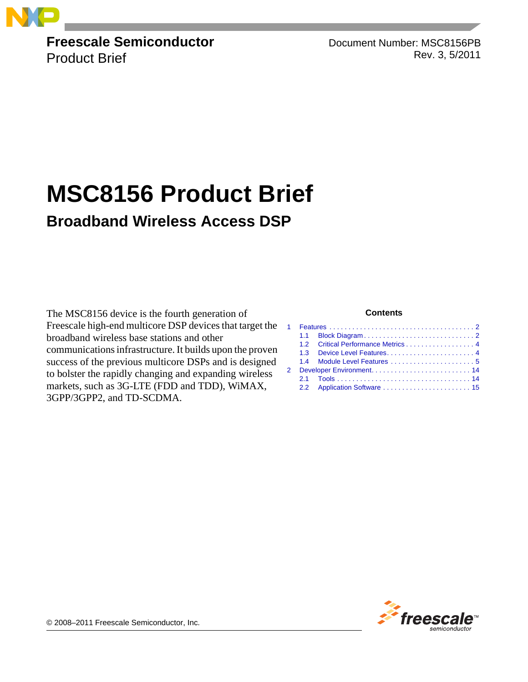

**Freescale Semiconductor** Product Brief

Document Number: MSC8156PB Rev. 3, 5/2011

# **MSC8156 Product Brief**

### **Broadband Wireless Access DSP**

The MSC8156 device is the fourth generation of Freescale high-end multicore DSP devices that target the broadband wireless base stations and other communications infrastructure. It builds upon the proven success of the previous multicore DSPs and is designed to bolster the rapidly changing and expanding wireless markets, such as 3G-LTE (FDD and TDD), WiMAX, 3GPP/3GPP2, and TD-SCDMA.

#### **Contents**

| 1.2 Critical Performance Metrics 4 |
|------------------------------------|
|                                    |
|                                    |
|                                    |
|                                    |
| 2.2 Application Software  15       |
|                                    |



© 2008–2011 Freescale Semiconductor, Inc.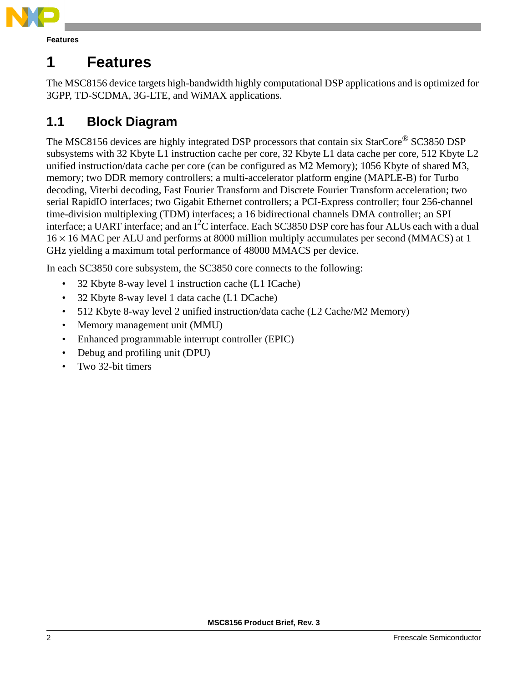

<span id="page-1-0"></span>The MSC8156 device targets high-bandwidth highly computational DSP applications and is optimized for 3GPP, TD-SCDMA, 3G-LTE, and WiMAX applications.

### <span id="page-1-1"></span>**1.1 Block Diagram**

The MSC8156 devices are highly integrated DSP processors that contain six StarCore® SC3850 DSP subsystems with 32 Kbyte L1 instruction cache per core, 32 Kbyte L1 data cache per core, 512 Kbyte L2 unified instruction/data cache per core (can be configured as M2 Memory); 1056 Kbyte of shared M3, memory; two DDR memory controllers; a multi-accelerator platform engine (MAPLE-B) for Turbo decoding, Viterbi decoding, Fast Fourier Transform and Discrete Fourier Transform acceleration; two serial RapidIO interfaces; two Gigabit Ethernet controllers; a PCI-Express controller; four 256-channel time-division multiplexing (TDM) interfaces; a 16 bidirectional channels DMA controller; an SPI interface; a UART interface; and an  $I^2C$  interface. Each SC3850 DSP core has four ALUs each with a dual  $16 \times 16$  MAC per ALU and performs at 8000 million multiply accumulates per second (MMACS) at 1 GHz yielding a maximum total performance of 48000 MMACS per device.

In each SC3850 core subsystem, the SC3850 core connects to the following:

- 32 Kbyte 8-way level 1 instruction cache (L1 ICache)
- 32 Kbyte 8-way level 1 data cache (L1 DCache)
- 512 Kbyte 8-way level 2 unified instruction/data cache (L2 Cache/M2 Memory)
- Memory management unit (MMU)
- Enhanced programmable interrupt controller (EPIC)
- Debug and profiling unit (DPU)
- Two 32-bit timers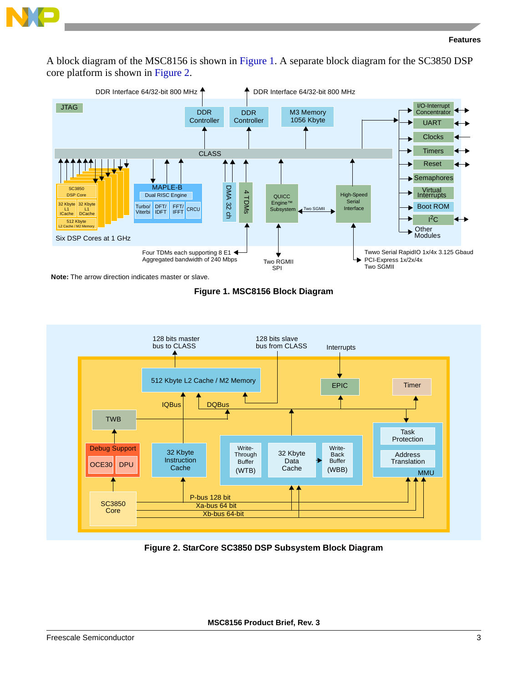

A block diagram of the MSC8156 is shown in Figure 1. A separate block diagram for the SC3850 DSP core platform is shown in Figure 2.









**Figure 2. StarCore SC3850 DSP Subsystem Block Diagram**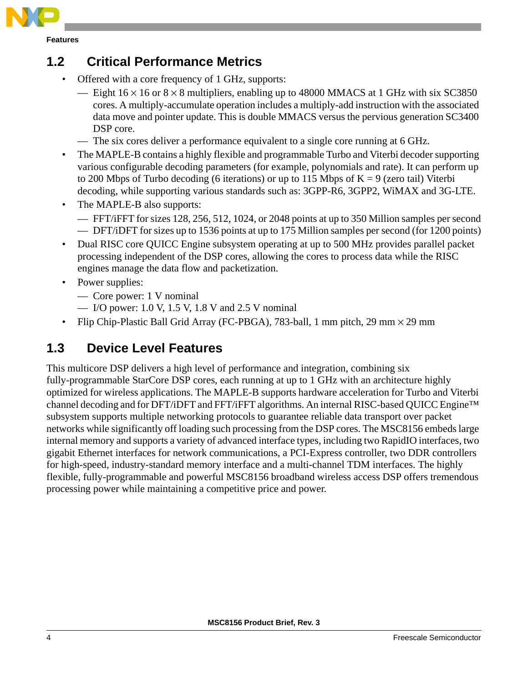

### <span id="page-3-1"></span>**1.2 Critical Performance Metrics**

- Offered with a core frequency of 1 GHz, supports:
	- Eight  $16 \times 16$  or  $8 \times 8$  multipliers, enabling up to 48000 MMACS at 1 GHz with six SC3850 cores. A multiply-accumulate operation includes a multiply-add instruction with the associated data move and pointer update. This is double MMACS versus the pervious generation SC3400 DSP core.
	- The six cores deliver a performance equivalent to a single core running at 6 GHz.
- The MAPLE-B contains a highly flexible and programmable Turbo and Viterbi decoder supporting various configurable decoding parameters (for example, polynomials and rate). It can perform up to 200 Mbps of Turbo decoding (6 iterations) or up to 115 Mbps of  $K = 9$  (zero tail) Viterbi decoding, while supporting various standards such as: 3GPP-R6, 3GPP2, WiMAX and 3G-LTE.
- The MAPLE-B also supports:
	- FFT/iFFT for sizes 128, 256, 512, 1024, or 2048 points at up to 350 Million samples per second — DFT/iDFT for sizes up to 1536 points at up to 175 Million samples per second (for 1200 points)
- Dual RISC core QUICC Engine subsystem operating at up to 500 MHz provides parallel packet processing independent of the DSP cores, allowing the cores to process data while the RISC engines manage the data flow and packetization.
- Power supplies:
	- Core power: 1 V nominal
	- I/O power: 1.0 V, 1.5 V, 1.8 V and 2.5 V nominal
- Flip Chip-Plastic Ball Grid Array (FC-PBGA), 783-ball, 1 mm pitch, 29 mm × 29 mm

### <span id="page-3-0"></span>**1.3 Device Level Features**

This multicore DSP delivers a high level of performance and integration, combining six fully-programmable StarCore DSP cores, each running at up to 1 GHz with an architecture highly optimized for wireless applications. The MAPLE-B supports hardware acceleration for Turbo and Viterbi channel decoding and for DFT/iDFT and FFT/iFFT algorithms. An internal RISC-based QUICC Engine™ subsystem supports multiple networking protocols to guarantee reliable data transport over packet networks while significantly off loading such processing from the DSP cores. The MSC8156 embeds large internal memory and supports a variety of advanced interface types, including two RapidIO interfaces, two gigabit Ethernet interfaces for network communications, a PCI-Express controller, two DDR controllers for high-speed, industry-standard memory interface and a multi-channel TDM interfaces. The highly flexible, fully-programmable and powerful MSC8156 broadband wireless access DSP offers tremendous processing power while maintaining a competitive price and power.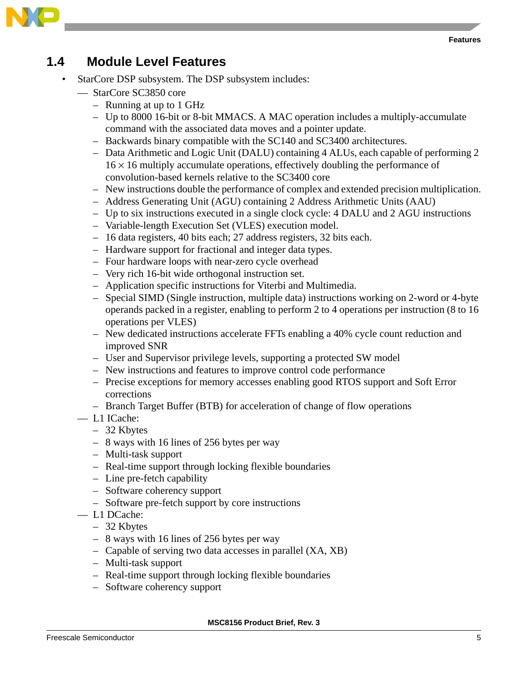

### <span id="page-4-0"></span>**1.4 Module Level Features**

- StarCore DSP subsystem. The DSP subsystem includes:
	- StarCore SC3850 core
		- Running at up to 1 GHz
		- Up to 8000 16-bit or 8-bit MMACS. A MAC operation includes a multiply-accumulate command with the associated data moves and a pointer update.
		- Backwards binary compatible with the SC140 and SC3400 architectures.
		- Data Arithmetic and Logic Unit (DALU) containing 4 ALUs, each capable of performing 2  $16 \times 16$  multiply accumulate operations, effectively doubling the performance of convolution-based kernels relative to the SC3400 core
		- New instructions double the performance of complex and extended precision multiplication.
		- Address Generating Unit (AGU) containing 2 Address Arithmetic Units (AAU)
		- Up to six instructions executed in a single clock cycle: 4 DALU and 2 AGU instructions
		- Variable-length Execution Set (VLES) execution model.
		- 16 data registers, 40 bits each; 27 address registers, 32 bits each.
		- Hardware support for fractional and integer data types.
		- Four hardware loops with near-zero cycle overhead
		- Very rich 16-bit wide orthogonal instruction set.
		- Application specific instructions for Viterbi and Multimedia.
		- Special SIMD (Single instruction, multiple data) instructions working on 2-word or 4-byte operands packed in a register, enabling to perform 2 to 4 operations per instruction (8 to 16 operations per VLES)
		- New dedicated instructions accelerate FFTs enabling a 40% cycle count reduction and improved SNR
		- User and Supervisor privilege levels, supporting a protected SW model
		- New instructions and features to improve control code performance
		- Precise exceptions for memory accesses enabling good RTOS support and Soft Error corrections
		- Branch Target Buffer (BTB) for acceleration of change of flow operations
	- L1 ICache:
		- 32 Kbytes
		- 8 ways with 16 lines of 256 bytes per way
		- Multi-task support
		- Real-time support through locking flexible boundaries
		- Line pre-fetch capability
		- Software coherency support
		- Software pre-fetch support by core instructions
	- L1 DCache:
		- 32 Kbytes
		- 8 ways with 16 lines of 256 bytes per way
		- Capable of serving two data accesses in parallel (XA, XB)
		- Multi-task support
		- Real-time support through locking flexible boundaries
		- Software coherency support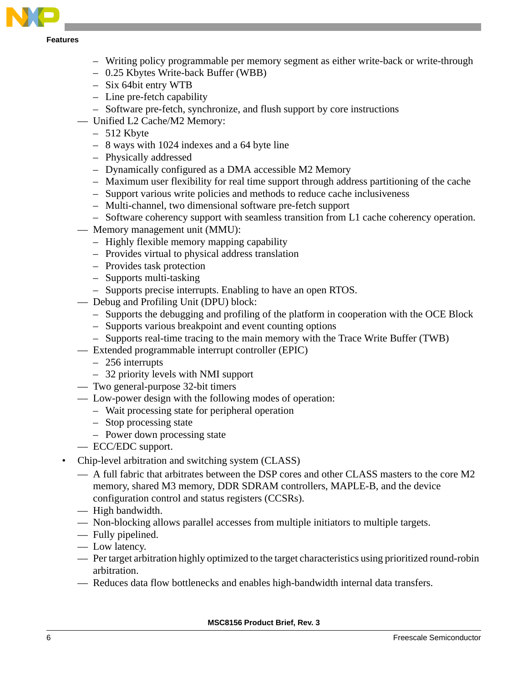

- Writing policy programmable per memory segment as either write-back or write-through
- 0.25 Kbytes Write-back Buffer (WBB)
- Six 64bit entry WTB
- Line pre-fetch capability
- Software pre-fetch, synchronize, and flush support by core instructions
- Unified L2 Cache/M2 Memory:
	- 512 Kbyte
	- 8 ways with 1024 indexes and a 64 byte line
	- Physically addressed
	- Dynamically configured as a DMA accessible M2 Memory
	- Maximum user flexibility for real time support through address partitioning of the cache
	- Support various write policies and methods to reduce cache inclusiveness
	- Multi-channel, two dimensional software pre-fetch support
	- Software coherency support with seamless transition from L1 cache coherency operation.
- Memory management unit (MMU):
	- Highly flexible memory mapping capability
	- Provides virtual to physical address translation
	- Provides task protection
	- Supports multi-tasking
	- Supports precise interrupts. Enabling to have an open RTOS.
- Debug and Profiling Unit (DPU) block:
	- Supports the debugging and profiling of the platform in cooperation with the OCE Block
	- Supports various breakpoint and event counting options
	- Supports real-time tracing to the main memory with the Trace Write Buffer (TWB)
- Extended programmable interrupt controller (EPIC)
	- 256 interrupts
	- 32 priority levels with NMI support
- Two general-purpose 32-bit timers
- Low-power design with the following modes of operation:
	- Wait processing state for peripheral operation
	- Stop processing state
	- Power down processing state
- ECC/EDC support.
- Chip-level arbitration and switching system (CLASS)
	- A full fabric that arbitrates between the DSP cores and other CLASS masters to the core M2 memory, shared M3 memory, DDR SDRAM controllers, MAPLE-B, and the device configuration control and status registers (CCSRs).
	- High bandwidth.
	- Non-blocking allows parallel accesses from multiple initiators to multiple targets.
	- Fully pipelined.
	- Low latency.
	- Per target arbitration highly optimized to the target characteristics using prioritized round-robin arbitration.
	- Reduces data flow bottlenecks and enables high-bandwidth internal data transfers.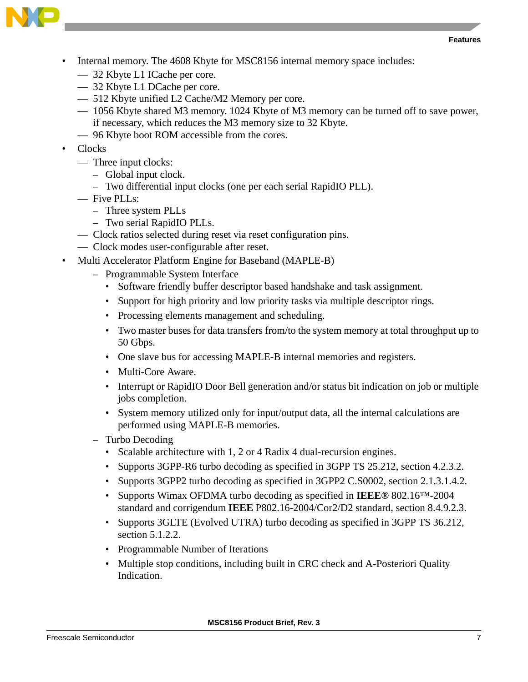



- Internal memory. The 4608 Kbyte for MSC8156 internal memory space includes:
	- 32 Kbyte L1 ICache per core.
	- 32 Kbyte L1 DCache per core.
	- 512 Kbyte unified L2 Cache/M2 Memory per core.
	- 1056 Kbyte shared M3 memory. 1024 Kbyte of M3 memory can be turned off to save power, if necessary, which reduces the M3 memory size to 32 Kbyte.
	- 96 Kbyte boot ROM accessible from the cores.
- Clocks
	- Three input clocks:
		- Global input clock.
		- Two differential input clocks (one per each serial RapidIO PLL).
	- Five PLLs:
		- Three system PLLs
		- Two serial RapidIO PLLs.
	- Clock ratios selected during reset via reset configuration pins.
	- Clock modes user-configurable after reset.
- Multi Accelerator Platform Engine for Baseband (MAPLE-B)
	- Programmable System Interface
		- Software friendly buffer descriptor based handshake and task assignment.
		- Support for high priority and low priority tasks via multiple descriptor rings.
		- Processing elements management and scheduling.
		- Two master buses for data transfers from/to the system memory at total throughput up to 50 Gbps.
		- One slave bus for accessing MAPLE-B internal memories and registers.
		- Multi-Core Aware.
		- Interrupt or RapidIO Door Bell generation and/or status bit indication on job or multiple jobs completion.
		- System memory utilized only for input/output data, all the internal calculations are performed using MAPLE-B memories.
	- Turbo Decoding
		- Scalable architecture with 1, 2 or 4 Radix 4 dual-recursion engines.
		- Supports 3GPP-R6 turbo decoding as specified in 3GPP TS 25.212, section 4.2.3.2.
		- Supports 3GPP2 turbo decoding as specified in 3GPP2 C.S0002, section 2.1.3.1.4.2.
		- Supports Wimax OFDMA turbo decoding as specified in **IEEE®** 802.16™-2004 standard and corrigendum **IEEE** P802.16-2004/Cor2/D2 standard, section 8.4.9.2.3.
		- Supports 3GLTE (Evolved UTRA) turbo decoding as specified in 3GPP TS 36.212, section 5.1.2.2.
		- Programmable Number of Iterations
		- Multiple stop conditions, including built in CRC check and A-Posteriori Quality Indication.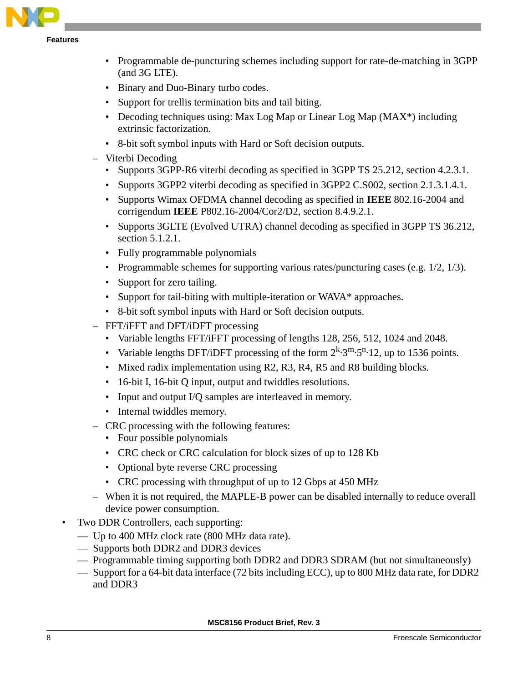

- Programmable de-puncturing schemes including support for rate-de-matching in 3GPP (and 3G LTE).
- Binary and Duo-Binary turbo codes.
- Support for trellis termination bits and tail biting.
- Decoding techniques using: Max Log Map or Linear Log Map (MAX<sup>\*</sup>) including extrinsic factorization.
- 8-bit soft symbol inputs with Hard or Soft decision outputs.
- Viterbi Decoding
	- Supports 3GPP-R6 viterbi decoding as specified in 3GPP TS 25.212, section 4.2.3.1.
	- Supports 3GPP2 viterbi decoding as specified in 3GPP2 C.S002, section 2.1.3.1.4.1.
	- Supports Wimax OFDMA channel decoding as specified in **IEEE** 802.16-2004 and corrigendum **IEEE** P802.16-2004/Cor2/D2, section 8.4.9.2.1.
	- Supports 3GLTE (Evolved UTRA) channel decoding as specified in 3GPP TS 36.212, section 5.1.2.1.
	- Fully programmable polynomials
	- Programmable schemes for supporting various rates/puncturing cases (e.g. 1/2, 1/3).
	- Support for zero tailing.
	- Support for tail-biting with multiple-iteration or WAVA\* approaches.
	- 8-bit soft symbol inputs with Hard or Soft decision outputs.
- FFT/iFFT and DFT/iDFT processing
	- Variable lengths FFT/iFFT processing of lengths 128, 256, 512, 1024 and 2048.
	- Variable lengths DFT/iDFT processing of the form  $2^k \cdot 3^m \cdot 5^n \cdot 12$ , up to 1536 points.
	- Mixed radix implementation using R2, R3, R4, R5 and R8 building blocks.
	- 16-bit I, 16-bit Q input, output and twiddles resolutions.
	- Input and output I/Q samples are interleaved in memory.
	- Internal twiddles memory.
- CRC processing with the following features:
	- Four possible polynomials
	- CRC check or CRC calculation for block sizes of up to 128 Kb
	- Optional byte reverse CRC processing
	- CRC processing with throughput of up to 12 Gbps at 450 MHz
- When it is not required, the MAPLE-B power can be disabled internally to reduce overall device power consumption.
- Two DDR Controllers, each supporting:
	- Up to 400 MHz clock rate (800 MHz data rate).
	- Supports both DDR2 and DDR3 devices
	- Programmable timing supporting both DDR2 and DDR3 SDRAM (but not simultaneously)
	- Support for a 64-bit data interface (72 bits including ECC), up to 800 MHz data rate, for DDR2 and DDR3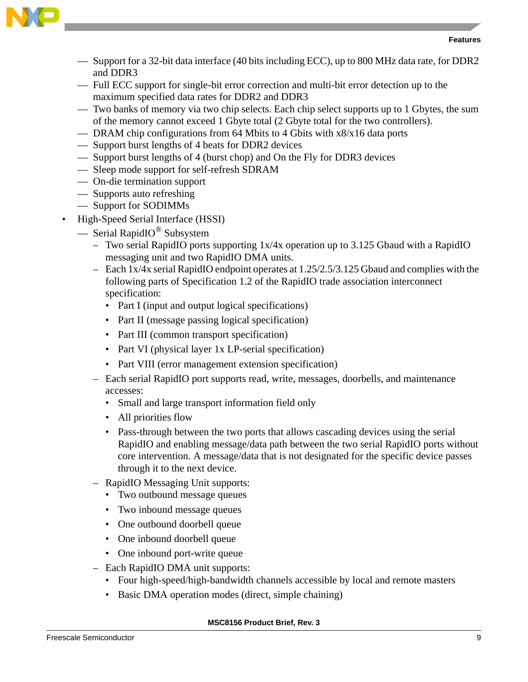

- Support for a 32-bit data interface (40 bits including ECC), up to 800 MHz data rate, for DDR2 and DDR3
- Full ECC support for single-bit error correction and multi-bit error detection up to the maximum specified data rates for DDR2 and DDR3
- Two banks of memory via two chip selects. Each chip select supports up to 1 Gbytes, the sum of the memory cannot exceed 1 Gbyte total (2 Gbyte total for the two controllers).
- DRAM chip configurations from 64 Mbits to 4 Gbits with x8/x16 data ports
- Support burst lengths of 4 beats for DDR2 devices
- Support burst lengths of 4 (burst chop) and On the Fly for DDR3 devices
- Sleep mode support for self-refresh SDRAM
- On-die termination support
- Supports auto refreshing
- Support for SODIMMs
- High-Speed Serial Interface (HSSI)
	- Serial RapidIO® Subsystem
		- Two serial RapidIO ports supporting 1x/4x operation up to 3.125 Gbaud with a RapidIO messaging unit and two RapidIO DMA units.
		- Each 1x/4x serial RapidIO endpoint operates at 1.25/2.5/3.125 Gbaud and complies with the following parts of Specification 1.2 of the RapidIO trade association interconnect specification:
			- Part I (input and output logical specifications)
			- Part II (message passing logical specification)
			- Part III (common transport specification)
			- Part VI (physical layer 1x LP-serial specification)
			- Part VIII (error management extension specification)
		- Each serial RapidIO port supports read, write, messages, doorbells, and maintenance accesses:
			- Small and large transport information field only
			- All priorities flow
			- Pass-through between the two ports that allows cascading devices using the serial RapidIO and enabling message/data path between the two serial RapidIO ports without core intervention. A message/data that is not designated for the specific device passes through it to the next device.
		- RapidIO Messaging Unit supports:
			- Two outbound message queues
			- Two inbound message queues
			- One outbound doorbell queue
			- One inbound doorbell queue
			- One inbound port-write queue
		- Each RapidIO DMA unit supports:
			- Four high-speed/high-bandwidth channels accessible by local and remote masters
			- Basic DMA operation modes (direct, simple chaining)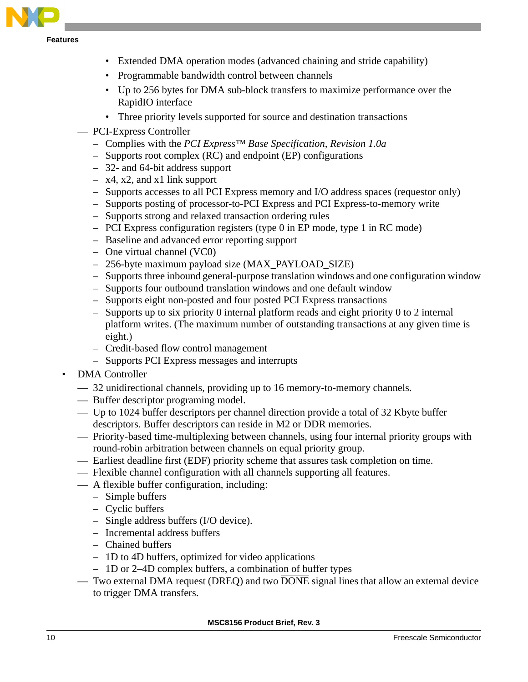

- Extended DMA operation modes (advanced chaining and stride capability)
- Programmable bandwidth control between channels
- Up to 256 bytes for DMA sub-block transfers to maximize performance over the RapidIO interface
- Three priority levels supported for source and destination transactions
- PCI-Express Controller
	- Complies with the *PCI Express™ Base Specification, Revision 1.0a*
	- Supports root complex (RC) and endpoint (EP) configurations
	- 32- and 64-bit address support
	- x4, x2, and x1 link support
	- Supports accesses to all PCI Express memory and I/O address spaces (requestor only)
	- Supports posting of processor-to-PCI Express and PCI Express-to-memory write
	- Supports strong and relaxed transaction ordering rules
	- PCI Express configuration registers (type 0 in EP mode, type 1 in RC mode)
	- Baseline and advanced error reporting support
	- One virtual channel (VC0)
	- 256-byte maximum payload size (MAX\_PAYLOAD\_SIZE)
	- Supports three inbound general-purpose translation windows and one configuration window
	- Supports four outbound translation windows and one default window
	- Supports eight non-posted and four posted PCI Express transactions
	- Supports up to six priority 0 internal platform reads and eight priority 0 to 2 internal platform writes. (The maximum number of outstanding transactions at any given time is eight.)
	- Credit-based flow control management
	- Supports PCI Express messages and interrupts
- DMA Controller
	- 32 unidirectional channels, providing up to 16 memory-to-memory channels.
	- Buffer descriptor programing model.
	- Up to 1024 buffer descriptors per channel direction provide a total of 32 Kbyte buffer descriptors. Buffer descriptors can reside in M2 or DDR memories.
	- Priority-based time-multiplexing between channels, using four internal priority groups with round-robin arbitration between channels on equal priority group.
	- Earliest deadline first (EDF) priority scheme that assures task completion on time.
	- Flexible channel configuration with all channels supporting all features.
	- A flexible buffer configuration, including:
		- Simple buffers
		- Cyclic buffers
		- Single address buffers (I/O device).
		- Incremental address buffers
		- Chained buffers
		- 1D to 4D buffers, optimized for video applications
		- 1D or 2–4D complex buffers, a combination of buffer types
		- Two external DMA request (DREQ) and two  $\overline{DONE}$  signal lines that allow an external device to trigger DMA transfers.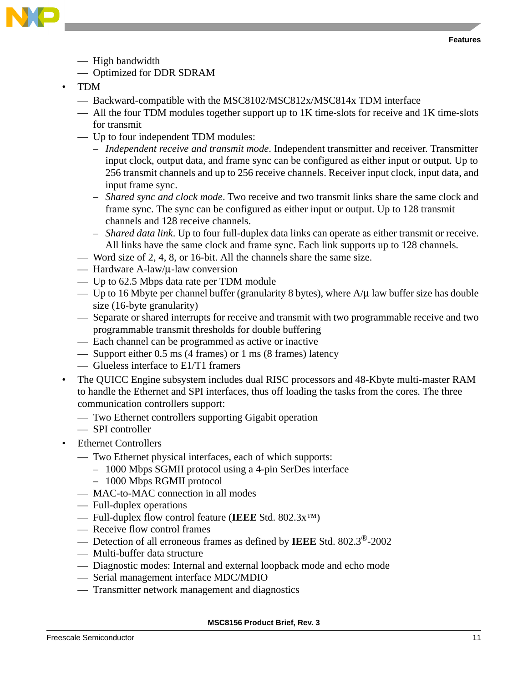

— High bandwidth

— Optimized for DDR SDRAM

- TDM
	- Backward-compatible with the MSC8102/MSC812x/MSC814x TDM interface
	- All the four TDM modules together support up to 1K time-slots for receive and 1K time-slots for transmit
	- Up to four independent TDM modules:
		- *Independent receive and transmit mode*. Independent transmitter and receiver. Transmitter input clock, output data, and frame sync can be configured as either input or output. Up to 256 transmit channels and up to 256 receive channels. Receiver input clock, input data, and input frame sync.
		- *Shared sync and clock mode*. Two receive and two transmit links share the same clock and frame sync. The sync can be configured as either input or output. Up to 128 transmit channels and 128 receive channels.
		- *Shared data link*. Up to four full-duplex data links can operate as either transmit or receive. All links have the same clock and frame sync. Each link supports up to 128 channels.
	- Word size of 2, 4, 8, or 16-bit. All the channels share the same size.
	- Hardware A-law/μ-law conversion
	- Up to 62.5 Mbps data rate per TDM module
	- Up to 16 Mbyte per channel buffer (granularity 8 bytes), where  $A/\mu$  law buffer size has double size (16-byte granularity)
	- Separate or shared interrupts for receive and transmit with two programmable receive and two programmable transmit thresholds for double buffering
	- Each channel can be programmed as active or inactive
	- Support either 0.5 ms (4 frames) or 1 ms (8 frames) latency
	- Glueless interface to E1/T1 framers
- The QUICC Engine subsystem includes dual RISC processors and 48-Kbyte multi-master RAM to handle the Ethernet and SPI interfaces, thus off loading the tasks from the cores. The three communication controllers support:
	- Two Ethernet controllers supporting Gigabit operation
	- SPI controller
- Ethernet Controllers
	- Two Ethernet physical interfaces, each of which supports:
		- 1000 Mbps SGMII protocol using a 4-pin SerDes interface
		- 1000 Mbps RGMII protocol
	- MAC-to-MAC connection in all modes
	- Full-duplex operations
	- Full-duplex flow control feature (**IEEE** Std. 802.3x™)
	- Receive flow control frames
	- Detection of all erroneous frames as defined by **IEEE** Std. 802.3®-2002
	- Multi-buffer data structure
	- Diagnostic modes: Internal and external loopback mode and echo mode
	- Serial management interface MDC/MDIO
	- Transmitter network management and diagnostics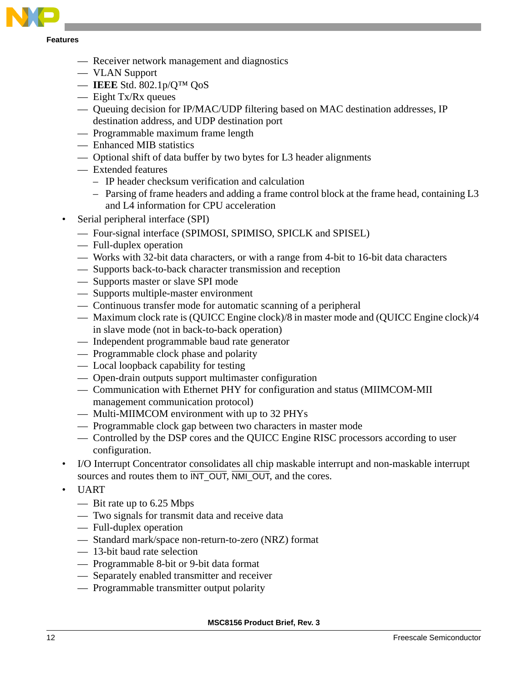

- Receiver network management and diagnostics
- VLAN Support
- **IEEE** Std. 802.1p/Q™ QoS
- Eight Tx/Rx queues
- Queuing decision for IP/MAC/UDP filtering based on MAC destination addresses, IP destination address, and UDP destination port
- Programmable maximum frame length
- Enhanced MIB statistics
- Optional shift of data buffer by two bytes for L3 header alignments
- Extended features
	- IP header checksum verification and calculation
	- Parsing of frame headers and adding a frame control block at the frame head, containing L3 and L4 information for CPU acceleration
- Serial peripheral interface (SPI)
	- Four-signal interface (SPIMOSI, SPIMISO, SPICLK and SPISEL)
	- Full-duplex operation
	- Works with 32-bit data characters, or with a range from 4-bit to 16-bit data characters
	- Supports back-to-back character transmission and reception
	- Supports master or slave SPI mode
	- Supports multiple-master environment
	- Continuous transfer mode for automatic scanning of a peripheral
	- Maximum clock rate is (QUICC Engine clock)/8 in master mode and (QUICC Engine clock)/4 in slave mode (not in back-to-back operation)
	- Independent programmable baud rate generator
	- Programmable clock phase and polarity
	- Local loopback capability for testing
	- Open-drain outputs support multimaster configuration
	- Communication with Ethernet PHY for configuration and status (MIIMCOM-MII management communication protocol)
	- Multi-MIIMCOM environment with up to 32 PHYs
	- Programmable clock gap between two characters in master mode
	- Controlled by the DSP cores and the QUICC Engine RISC processors according to user configuration.
- I/O Interrupt Concentrator consolidates all chip maskable interrupt and non-maskable interrupt sources and routes them to  $\overline{INT\_OUT}$ ,  $\overline{NML\_OUT}$ , and the cores.
- UART
	- Bit rate up to 6.25 Mbps
	- Two signals for transmit data and receive data
	- Full-duplex operation
	- Standard mark/space non-return-to-zero (NRZ) format
	- 13-bit baud rate selection
	- Programmable 8-bit or 9-bit data format
	- Separately enabled transmitter and receiver
	- Programmable transmitter output polarity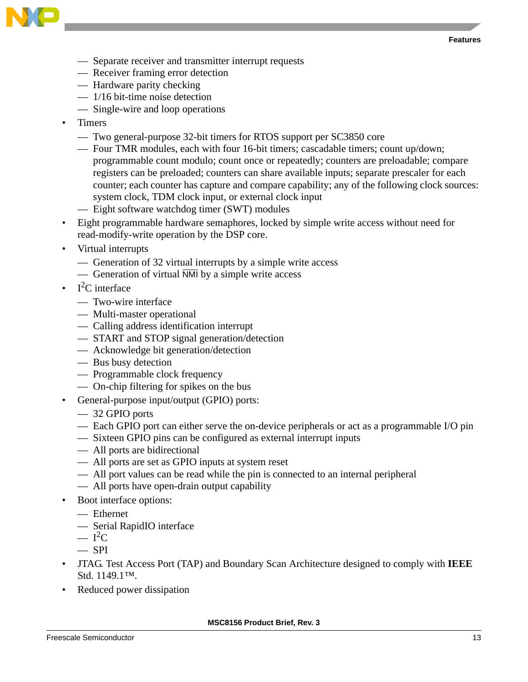

- Separate receiver and transmitter interrupt requests
- Receiver framing error detection
- Hardware parity checking
- 1/16 bit-time noise detection
- Single-wire and loop operations
- Timers
	- Two general-purpose 32-bit timers for RTOS support per SC3850 core
	- Four TMR modules, each with four 16-bit timers; cascadable timers; count up/down; programmable count modulo; count once or repeatedly; counters are preloadable; compare registers can be preloaded; counters can share available inputs; separate prescaler for each counter; each counter has capture and compare capability; any of the following clock sources: system clock, TDM clock input, or external clock input
	- Eight software watchdog timer (SWT) modules
- Eight programmable hardware semaphores, locked by simple write access without need for read-modify-write operation by the DSP core.
- Virtual interrupts
	- Generation of 32 virtual interrupts by a simple write access
	- Generation of virtual  $\overline{NM}$  by a simple write access
- $I^2C$  interface
	- Two-wire interface
	- Multi-master operational
	- Calling address identification interrupt
	- START and STOP signal generation/detection
	- Acknowledge bit generation/detection
	- Bus busy detection
	- Programmable clock frequency
	- On-chip filtering for spikes on the bus
- General-purpose input/output (GPIO) ports:
	- 32 GPIO ports
	- Each GPIO port can either serve the on-device peripherals or act as a programmable I/O pin
	- Sixteen GPIO pins can be configured as external interrupt inputs
	- All ports are bidirectional
	- All ports are set as GPIO inputs at system reset
	- All port values can be read while the pin is connected to an internal peripheral
	- All ports have open-drain output capability
- Boot interface options:
	- Ethernet
	- Serial RapidIO interface
	- $I^2C$
	- $-$  SPI
- JTAG. Test Access Port (TAP) and Boundary Scan Architecture designed to comply with **IEEE** Std. 1149.1™.
- Reduced power dissipation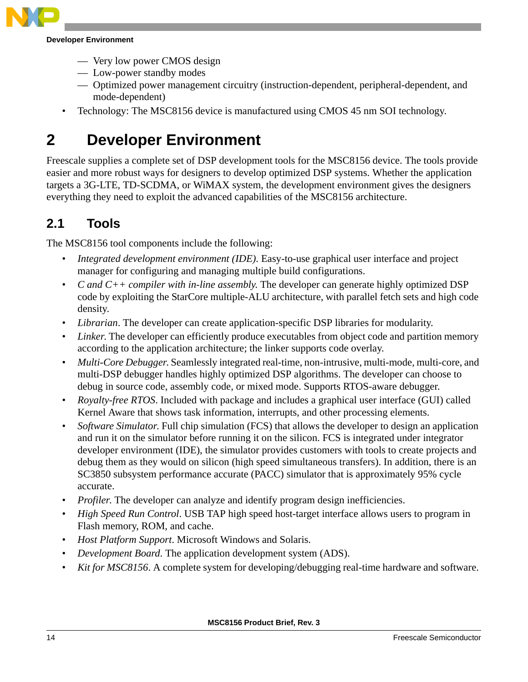

#### **Developer Environment**

- Very low power CMOS design
- Low-power standby modes
- Optimized power management circuitry (instruction-dependent, peripheral-dependent, and mode-dependent)
- Technology: The MSC8156 device is manufactured using CMOS 45 nm SOI technology.

# <span id="page-13-0"></span>**2 Developer Environment**

Freescale supplies a complete set of DSP development tools for the MSC8156 device. The tools provide easier and more robust ways for designers to develop optimized DSP systems. Whether the application targets a 3G-LTE, TD-SCDMA, or WiMAX system, the development environment gives the designers everything they need to exploit the advanced capabilities of the MSC8156 architecture.

### <span id="page-13-1"></span>**2.1 Tools**

The MSC8156 tool components include the following:

- *Integrated development environment (IDE).* Easy-to-use graphical user interface and project manager for configuring and managing multiple build configurations.
- *C and C++ compiler with in-line assembly*. The developer can generate highly optimized DSP code by exploiting the StarCore multiple-ALU architecture, with parallel fetch sets and high code density.
- *Librarian*. The developer can create application-specific DSP libraries for modularity.
- *Linker*. The developer can efficiently produce executables from object code and partition memory according to the application architecture; the linker supports code overlay.
- *Multi-Core Debugger*. Seamlessly integrated real-time, non-intrusive, multi-mode, multi-core, and multi-DSP debugger handles highly optimized DSP algorithms. The developer can choose to debug in source code, assembly code, or mixed mode. Supports RTOS-aware debugger.
- *Royalty-free RTOS*. Included with package and includes a graphical user interface (GUI) called Kernel Aware that shows task information, interrupts, and other processing elements.
- *Software Simulator*. Full chip simulation (FCS) that allows the developer to design an application and run it on the simulator before running it on the silicon. FCS is integrated under integrator developer environment (IDE), the simulator provides customers with tools to create projects and debug them as they would on silicon (high speed simultaneous transfers). In addition, there is an SC3850 subsystem performance accurate (PACC) simulator that is approximately 95% cycle accurate.
- *Profiler*. The developer can analyze and identify program design inefficiencies.
- *High Speed Run Control*. USB TAP high speed host-target interface allows users to program in Flash memory, ROM, and cache.
- *Host Platform Support*. Microsoft Windows and Solaris.
- *Development Board*. The application development system (ADS).
- *Kit for MSC8156*. A complete system for developing/debugging real-time hardware and software.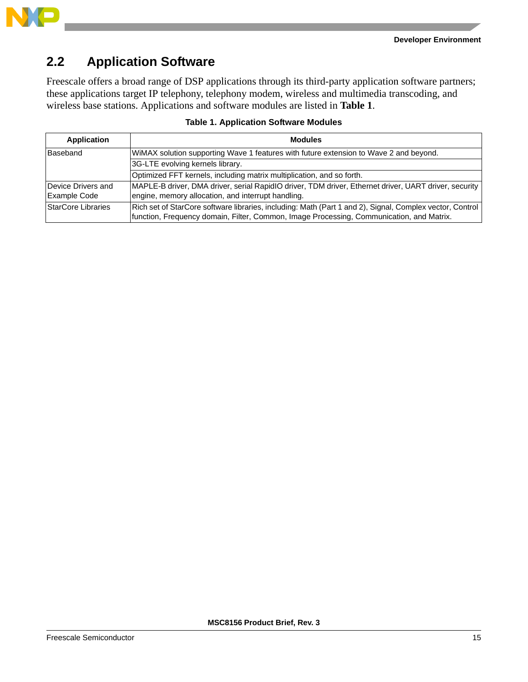

### <span id="page-14-0"></span>**2.2 Application Software**

Freescale offers a broad range of DSP applications through its third-party application software partners; these applications target IP telephony, telephony modem, wireless and multimedia transcoding, and wireless base stations. Applications and software modules are listed in **Table 1**.

| <b>Application</b>                 | <b>Modules</b>                                                                                                                                                                                         |
|------------------------------------|--------------------------------------------------------------------------------------------------------------------------------------------------------------------------------------------------------|
| <b>Baseband</b>                    | WiMAX solution supporting Wave 1 features with future extension to Wave 2 and beyond.                                                                                                                  |
|                                    | 3G-LTE evolving kernels library.                                                                                                                                                                       |
|                                    | Optimized FFT kernels, including matrix multiplication, and so forth.                                                                                                                                  |
| Device Drivers and<br>Example Code | MAPLE-B driver, DMA driver, serial RapidIO driver, TDM driver, Ethernet driver, UART driver, security<br>engine, memory allocation, and interrupt handling.                                            |
| StarCore Libraries                 | Rich set of StarCore software libraries, including: Math (Part 1 and 2), Signal, Complex vector, Control  <br>function, Frequency domain, Filter, Common, Image Processing, Communication, and Matrix. |